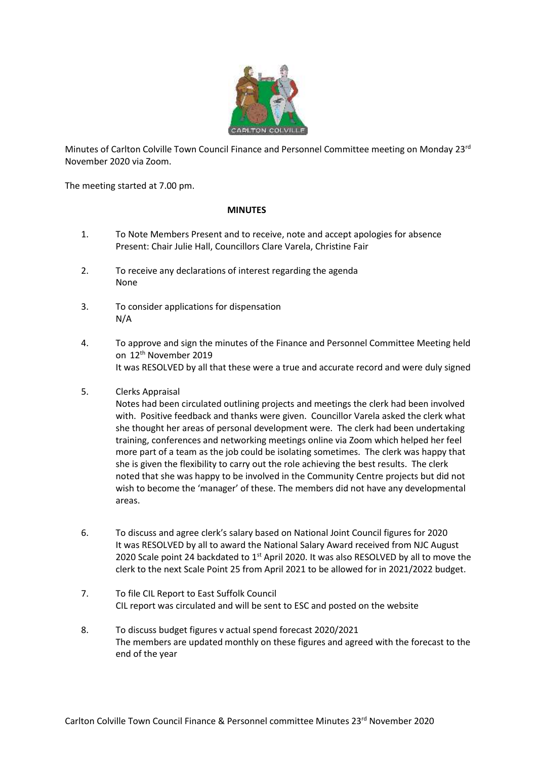

Minutes of Carlton Colville Town Council Finance and Personnel Committee meeting on Monday 23<sup>rd</sup> November 2020 via Zoom.

The meeting started at 7.00 pm.

## **MINUTES**

- 1. To Note Members Present and to receive, note and accept apologies for absence Present: Chair Julie Hall, Councillors Clare Varela, Christine Fair
- 2. To receive any declarations of interest regarding the agenda None
- 3. To consider applications for dispensation N/A
- 4. To approve and sign the minutes of the Finance and Personnel Committee Meeting held on 12th November 2019 It was RESOLVED by all that these were a true and accurate record and were duly signed
- 5. Clerks Appraisal

Notes had been circulated outlining projects and meetings the clerk had been involved with. Positive feedback and thanks were given. Councillor Varela asked the clerk what she thought her areas of personal development were. The clerk had been undertaking training, conferences and networking meetings online via Zoom which helped her feel more part of a team as the job could be isolating sometimes. The clerk was happy that she is given the flexibility to carry out the role achieving the best results. The clerk noted that she was happy to be involved in the Community Centre projects but did not wish to become the 'manager' of these. The members did not have any developmental areas.

- 6. To discuss and agree clerk's salary based on National Joint Council figures for 2020 It was RESOLVED by all to award the National Salary Award received from NJC August 2020 Scale point 24 backdated to 1<sup>st</sup> April 2020. It was also RESOLVED by all to move the clerk to the next Scale Point 25 from April 2021 to be allowed for in 2021/2022 budget.
- 7. To file CIL Report to East Suffolk Council CIL report was circulated and will be sent to ESC and posted on the website
- 8. To discuss budget figures v actual spend forecast 2020/2021 The members are updated monthly on these figures and agreed with the forecast to the end of the year